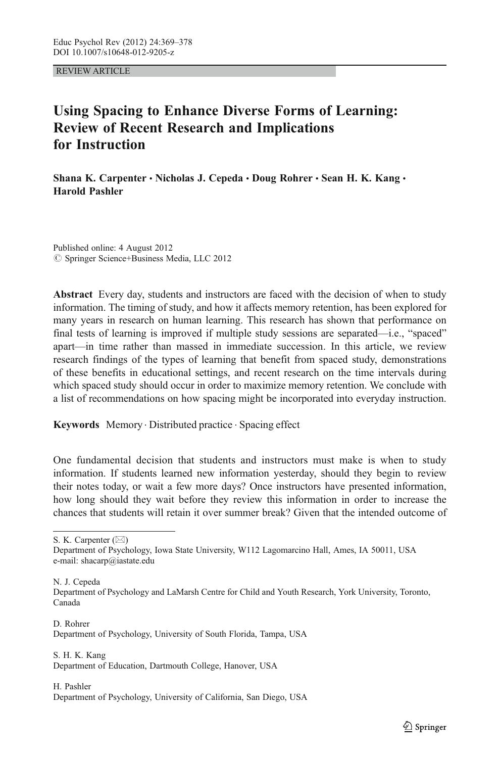REVIEW ARTICLE

# Using Spacing to Enhance Diverse Forms of Learning: Review of Recent Research and Implications for Instruction

Shana K. Carpenter • Nicholas J. Cepeda • Doug Rohrer • Sean H. K. Kang • Harold Pashler

Published online: 4 August 2012  $\circ$  Springer Science+Business Media, LLC 2012

Abstract Every day, students and instructors are faced with the decision of when to study information. The timing of study, and how it affects memory retention, has been explored for many years in research on human learning. This research has shown that performance on final tests of learning is improved if multiple study sessions are separated—i.e., "spaced" apart—in time rather than massed in immediate succession. In this article, we review research findings of the types of learning that benefit from spaced study, demonstrations of these benefits in educational settings, and recent research on the time intervals during which spaced study should occur in order to maximize memory retention. We conclude with a list of recommendations on how spacing might be incorporated into everyday instruction.

Keywords Memory . Distributed practice . Spacing effect

One fundamental decision that students and instructors must make is when to study information. If students learned new information yesterday, should they begin to review their notes today, or wait a few more days? Once instructors have presented information, how long should they wait before they review this information in order to increase the chances that students will retain it over summer break? Given that the intended outcome of

S. K. Carpenter  $(\boxtimes)$ 

N. J. Cepeda

D. Rohrer Department of Psychology, University of South Florida, Tampa, USA

S. H. K. Kang Department of Education, Dartmouth College, Hanover, USA

H. Pashler Department of Psychology, University of California, San Diego, USA

Department of Psychology, Iowa State University, W112 Lagomarcino Hall, Ames, IA 50011, USA e-mail: shacarp@iastate.edu

Department of Psychology and LaMarsh Centre for Child and Youth Research, York University, Toronto, Canada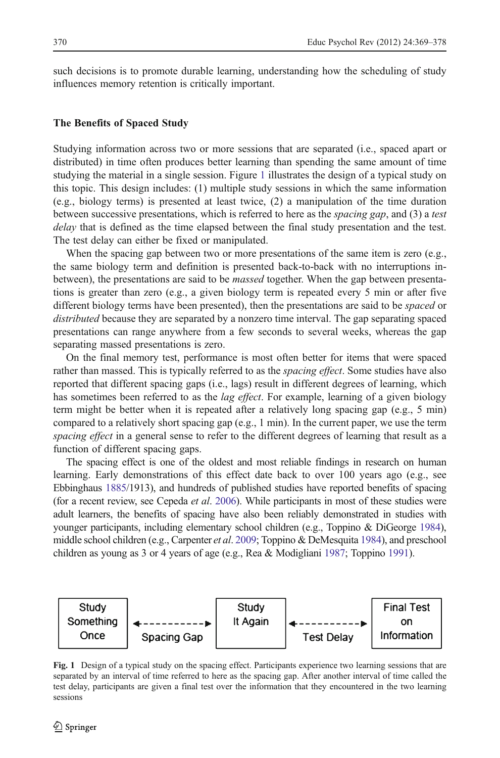such decisions is to promote durable learning, understanding how the scheduling of study influences memory retention is critically important.

#### The Benefits of Spaced Study

Studying information across two or more sessions that are separated (i.e., spaced apart or distributed) in time often produces better learning than spending the same amount of time studying the material in a single session. Figure 1 illustrates the design of a typical study on this topic. This design includes: (1) multiple study sessions in which the same information (e.g., biology terms) is presented at least twice, (2) a manipulation of the time duration between successive presentations, which is referred to here as the *spacing gap*, and (3) a *test* delay that is defined as the time elapsed between the final study presentation and the test. The test delay can either be fixed or manipulated.

When the spacing gap between two or more presentations of the same item is zero (e.g., the same biology term and definition is presented back-to-back with no interruptions inbetween), the presentations are said to be *massed* together. When the gap between presentations is greater than zero (e.g., a given biology term is repeated every 5 min or after five different biology terms have been presented), then the presentations are said to be *spaced* or distributed because they are separated by a nonzero time interval. The gap separating spaced presentations can range anywhere from a few seconds to several weeks, whereas the gap separating massed presentations is zero.

On the final memory test, performance is most often better for items that were spaced rather than massed. This is typically referred to as the *spacing effect*. Some studies have also reported that different spacing gaps (i.e., lags) result in different degrees of learning, which has sometimes been referred to as the *lag effect*. For example, learning of a given biology term might be better when it is repeated after a relatively long spacing gap (e.g., 5 min) compared to a relatively short spacing gap (e.g., 1 min). In the current paper, we use the term spacing effect in a general sense to refer to the different degrees of learning that result as a function of different spacing gaps.

The spacing effect is one of the oldest and most reliable findings in research on human learning. Early demonstrations of this effect date back to over 100 years ago (e.g., see Ebbinghaus [1885](#page-8-0)/1913), and hundreds of published studies have reported benefits of spacing (for a recent review, see Cepeda *et al.* [2006\)](#page-7-0). While participants in most of these studies were adult learners, the benefits of spacing have also been reliably demonstrated in studies with younger participants, including elementary school children (e.g., Toppino & DiGeorge [1984](#page-9-0)), middle school children (e.g., Carpenter et al. [2009](#page-7-0); Toppino & DeMesquita [1984](#page-9-0)), and preschool children as young as 3 or 4 years of age (e.g., Rea & Modigliani [1987](#page-9-0); Toppino [1991\)](#page-9-0).



Fig. 1 Design of a typical study on the spacing effect. Participants experience two learning sessions that are separated by an interval of time referred to here as the spacing gap. After another interval of time called the test delay, participants are given a final test over the information that they encountered in the two learning sessions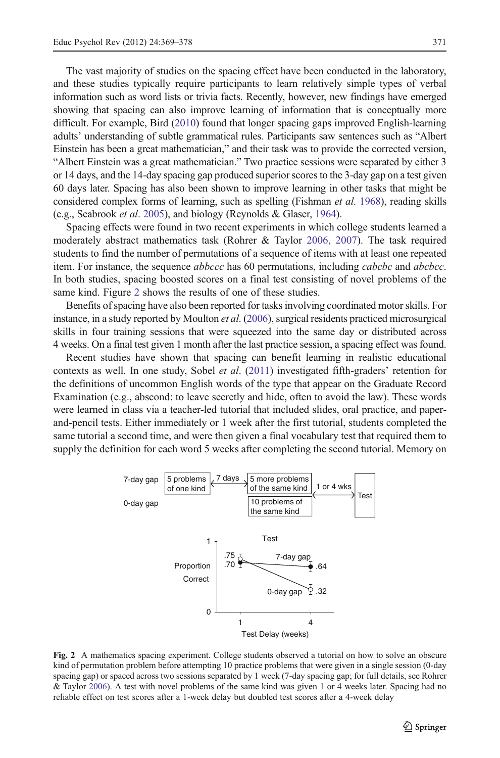The vast majority of studies on the spacing effect have been conducted in the laboratory, and these studies typically require participants to learn relatively simple types of verbal information such as word lists or trivia facts. Recently, however, new findings have emerged showing that spacing can also improve learning of information that is conceptually more difficult. For example, Bird ([2010](#page-7-0)) found that longer spacing gaps improved English-learning adults' understanding of subtle grammatical rules. Participants saw sentences such as "Albert Einstein has been a great mathematician," and their task was to provide the corrected version, "Albert Einstein was a great mathematician." Two practice sessions were separated by either 3 or 14 days, and the 14-day spacing gap produced superior scores to the 3-day gap on a test given 60 days later. Spacing has also been shown to improve learning in other tasks that might be considered complex forms of learning, such as spelling (Fishman et al. [1968\)](#page-8-0), reading skills (e.g., Seabrook et al. [2005](#page-9-0)), and biology (Reynolds & Glaser, [1964\)](#page-9-0).

Spacing effects were found in two recent experiments in which college students learned a moderately abstract mathematics task (Rohrer & Taylor [2006,](#page-9-0) [2007](#page-9-0)). The task required students to find the number of permutations of a sequence of items with at least one repeated item. For instance, the sequence *abbccc* has 60 permutations, including *cabcbc* and *abcbcc*. In both studies, spacing boosted scores on a final test consisting of novel problems of the same kind. Figure 2 shows the results of one of these studies.

Benefits of spacing have also been reported for tasks involving coordinated motor skills. For instance, in a study reported by Moulton et al. [\(2006\)](#page-8-0), surgical residents practiced microsurgical skills in four training sessions that were squeezed into the same day or distributed across 4 weeks. On a final test given 1 month after the last practice session, a spacing effect was found.

Recent studies have shown that spacing can benefit learning in realistic educational contexts as well. In one study, Sobel *et al.* ([2011](#page-9-0)) investigated fifth-graders' retention for the definitions of uncommon English words of the type that appear on the Graduate Record Examination (e.g., abscond: to leave secretly and hide, often to avoid the law). These words were learned in class via a teacher-led tutorial that included slides, oral practice, and paperand-pencil tests. Either immediately or 1 week after the first tutorial, students completed the same tutorial a second time, and were then given a final vocabulary test that required them to supply the definition for each word 5 weeks after completing the second tutorial. Memory on



Fig. 2 A mathematics spacing experiment. College students observed a tutorial on how to solve an obscure kind of permutation problem before attempting 10 practice problems that were given in a single session (0-day spacing gap) or spaced across two sessions separated by 1 week (7-day spacing gap; for full details, see Rohrer & Taylor [2006](#page-9-0)). A test with novel problems of the same kind was given 1 or 4 weeks later. Spacing had no reliable effect on test scores after a 1-week delay but doubled test scores after a 4-week delay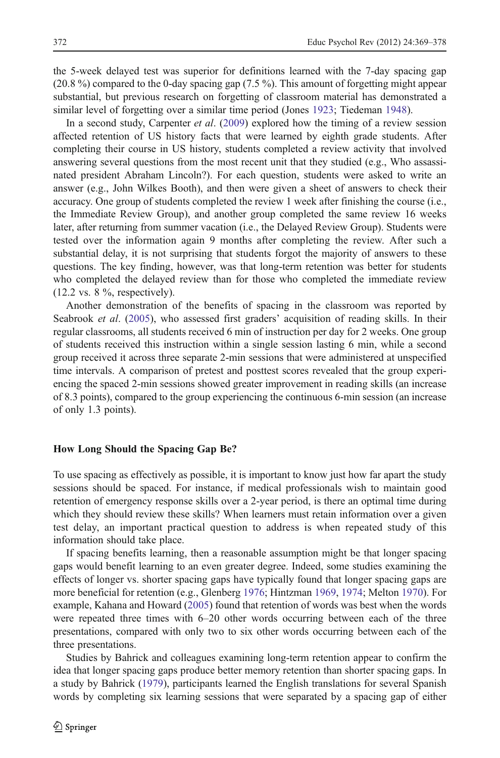the 5-week delayed test was superior for definitions learned with the 7-day spacing gap (20.8 %) compared to the 0-day spacing gap (7.5 %). This amount of forgetting might appear substantial, but previous research on forgetting of classroom material has demonstrated a similar level of forgetting over a similar time period (Jones [1923](#page-8-0); Tiedeman [1948\)](#page-9-0).

In a second study, Carpenter *et al.* [\(2009](#page-7-0)) explored how the timing of a review session affected retention of US history facts that were learned by eighth grade students. After completing their course in US history, students completed a review activity that involved answering several questions from the most recent unit that they studied (e.g., Who assassinated president Abraham Lincoln?). For each question, students were asked to write an answer (e.g., John Wilkes Booth), and then were given a sheet of answers to check their accuracy. One group of students completed the review 1 week after finishing the course (i.e., the Immediate Review Group), and another group completed the same review 16 weeks later, after returning from summer vacation (i.e., the Delayed Review Group). Students were tested over the information again 9 months after completing the review. After such a substantial delay, it is not surprising that students forgot the majority of answers to these questions. The key finding, however, was that long-term retention was better for students who completed the delayed review than for those who completed the immediate review  $(12.2 \text{ vs. } 8 \text{ %}, \text{respectively}).$ 

Another demonstration of the benefits of spacing in the classroom was reported by Seabrook et al. [\(2005\)](#page-9-0), who assessed first graders' acquisition of reading skills. In their regular classrooms, all students received 6 min of instruction per day for 2 weeks. One group of students received this instruction within a single session lasting 6 min, while a second group received it across three separate 2-min sessions that were administered at unspecified time intervals. A comparison of pretest and posttest scores revealed that the group experiencing the spaced 2-min sessions showed greater improvement in reading skills (an increase of 8.3 points), compared to the group experiencing the continuous 6-min session (an increase of only 1.3 points).

## How Long Should the Spacing Gap Be?

To use spacing as effectively as possible, it is important to know just how far apart the study sessions should be spaced. For instance, if medical professionals wish to maintain good retention of emergency response skills over a 2-year period, is there an optimal time during which they should review these skills? When learners must retain information over a given test delay, an important practical question to address is when repeated study of this information should take place.

If spacing benefits learning, then a reasonable assumption might be that longer spacing gaps would benefit learning to an even greater degree. Indeed, some studies examining the effects of longer vs. shorter spacing gaps have typically found that longer spacing gaps are more beneficial for retention (e.g., Glenberg [1976;](#page-8-0) Hintzman [1969,](#page-8-0) [1974](#page-8-0); Melton [1970\)](#page-8-0). For example, Kahana and Howard ([2005\)](#page-8-0) found that retention of words was best when the words were repeated three times with 6–20 other words occurring between each of the three presentations, compared with only two to six other words occurring between each of the three presentations.

Studies by Bahrick and colleagues examining long-term retention appear to confirm the idea that longer spacing gaps produce better memory retention than shorter spacing gaps. In a study by Bahrick ([1979\)](#page-7-0), participants learned the English translations for several Spanish words by completing six learning sessions that were separated by a spacing gap of either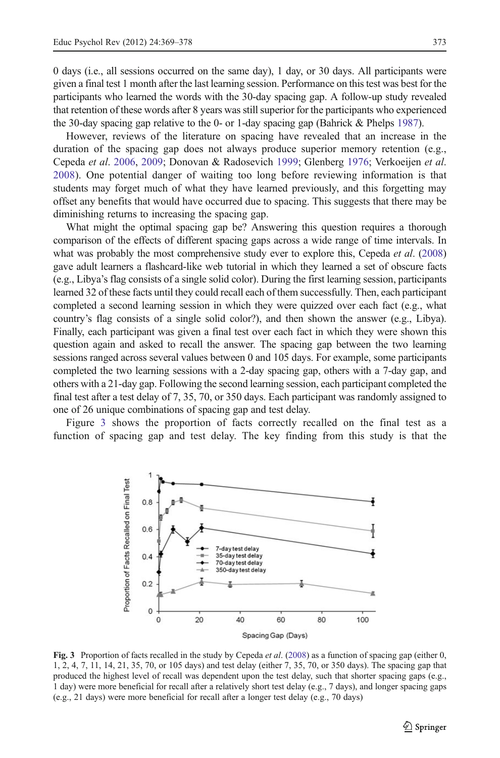0 days (i.e., all sessions occurred on the same day), 1 day, or 30 days. All participants were given a final test 1 month after the last learning session. Performance on this test was best for the participants who learned the words with the 30-day spacing gap. A follow-up study revealed that retention of these words after 8 years was still superior for the participants who experienced the 30-day spacing gap relative to the 0- or 1-day spacing gap (Bahrick & Phelps [1987\)](#page-7-0).

However, reviews of the literature on spacing have revealed that an increase in the duration of the spacing gap does not always produce superior memory retention (e.g., Cepeda et al. [2006,](#page-7-0) [2009](#page-8-0); Donovan & Radosevich [1999](#page-8-0); Glenberg [1976](#page-8-0); Verkoeijen et al. [2008\)](#page-9-0). One potential danger of waiting too long before reviewing information is that students may forget much of what they have learned previously, and this forgetting may offset any benefits that would have occurred due to spacing. This suggests that there may be diminishing returns to increasing the spacing gap.

What might the optimal spacing gap be? Answering this question requires a thorough comparison of the effects of different spacing gaps across a wide range of time intervals. In what was probably the most comprehensive study ever to explore this, Cepeda et al. [\(2008\)](#page-7-0) gave adult learners a flashcard-like web tutorial in which they learned a set of obscure facts (e.g., Libya's flag consists of a single solid color). During the first learning session, participants learned 32 of these facts until they could recall each of them successfully. Then, each participant completed a second learning session in which they were quizzed over each fact (e.g., what country's flag consists of a single solid color?), and then shown the answer (e.g., Libya). Finally, each participant was given a final test over each fact in which they were shown this question again and asked to recall the answer. The spacing gap between the two learning sessions ranged across several values between 0 and 105 days. For example, some participants completed the two learning sessions with a 2-day spacing gap, others with a 7-day gap, and others with a 21-day gap. Following the second learning session, each participant completed the final test after a test delay of 7, 35, 70, or 350 days. Each participant was randomly assigned to one of 26 unique combinations of spacing gap and test delay.

Figure 3 shows the proportion of facts correctly recalled on the final test as a function of spacing gap and test delay. The key finding from this study is that the



Fig. 3 Proportion of facts recalled in the study by Cepeda et al. [\(2008](#page-7-0)) as a function of spacing gap (either  $0$ , 1, 2, 4, 7, 11, 14, 21, 35, 70, or 105 days) and test delay (either 7, 35, 70, or 350 days). The spacing gap that produced the highest level of recall was dependent upon the test delay, such that shorter spacing gaps (e.g., 1 day) were more beneficial for recall after a relatively short test delay (e.g., 7 days), and longer spacing gaps (e.g., 21 days) were more beneficial for recall after a longer test delay (e.g., 70 days)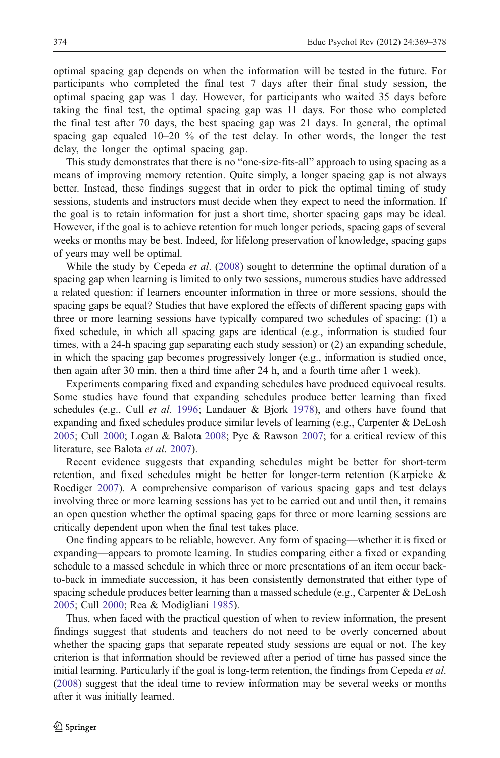optimal spacing gap depends on when the information will be tested in the future. For participants who completed the final test 7 days after their final study session, the optimal spacing gap was 1 day. However, for participants who waited 35 days before taking the final test, the optimal spacing gap was 11 days. For those who completed the final test after 70 days, the best spacing gap was 21 days. In general, the optimal spacing gap equaled 10–20 % of the test delay. In other words, the longer the test delay, the longer the optimal spacing gap.

This study demonstrates that there is no "one-size-fits-all" approach to using spacing as a means of improving memory retention. Quite simply, a longer spacing gap is not always better. Instead, these findings suggest that in order to pick the optimal timing of study sessions, students and instructors must decide when they expect to need the information. If the goal is to retain information for just a short time, shorter spacing gaps may be ideal. However, if the goal is to achieve retention for much longer periods, spacing gaps of several weeks or months may be best. Indeed, for lifelong preservation of knowledge, spacing gaps of years may well be optimal.

While the study by Cepeda *et al.* [\(2008](#page-7-0)) sought to determine the optimal duration of a spacing gap when learning is limited to only two sessions, numerous studies have addressed a related question: if learners encounter information in three or more sessions, should the spacing gaps be equal? Studies that have explored the effects of different spacing gaps with three or more learning sessions have typically compared two schedules of spacing: (1) a fixed schedule, in which all spacing gaps are identical (e.g., information is studied four times, with a 24-h spacing gap separating each study session) or (2) an expanding schedule, in which the spacing gap becomes progressively longer (e.g., information is studied once, then again after 30 min, then a third time after 24 h, and a fourth time after 1 week).

Experiments comparing fixed and expanding schedules have produced equivocal results. Some studies have found that expanding schedules produce better learning than fixed schedules (e.g., Cull *et al.* [1996](#page-8-0); Landauer & Bjork [1978](#page-8-0)), and others have found that expanding and fixed schedules produce similar levels of learning (e.g., Carpenter & DeLosh [2005;](#page-7-0) Cull [2000](#page-8-0); Logan & Balota [2008;](#page-8-0) Pyc & Rawson [2007](#page-8-0); for a critical review of this literature, see Balota et al. [2007](#page-7-0)).

Recent evidence suggests that expanding schedules might be better for short-term retention, and fixed schedules might be better for longer-term retention (Karpicke & Roediger [2007\)](#page-8-0). A comprehensive comparison of various spacing gaps and test delays involving three or more learning sessions has yet to be carried out and until then, it remains an open question whether the optimal spacing gaps for three or more learning sessions are critically dependent upon when the final test takes place.

One finding appears to be reliable, however. Any form of spacing—whether it is fixed or expanding—appears to promote learning. In studies comparing either a fixed or expanding schedule to a massed schedule in which three or more presentations of an item occur backto-back in immediate succession, it has been consistently demonstrated that either type of spacing schedule produces better learning than a massed schedule (e.g., Carpenter & DeLosh [2005;](#page-7-0) Cull [2000](#page-8-0); Rea & Modigliani [1985](#page-8-0)).

Thus, when faced with the practical question of when to review information, the present findings suggest that students and teachers do not need to be overly concerned about whether the spacing gaps that separate repeated study sessions are equal or not. The key criterion is that information should be reviewed after a period of time has passed since the initial learning. Particularly if the goal is long-term retention, the findings from Cepeda *et al.* ([2008\)](#page-7-0) suggest that the ideal time to review information may be several weeks or months after it was initially learned.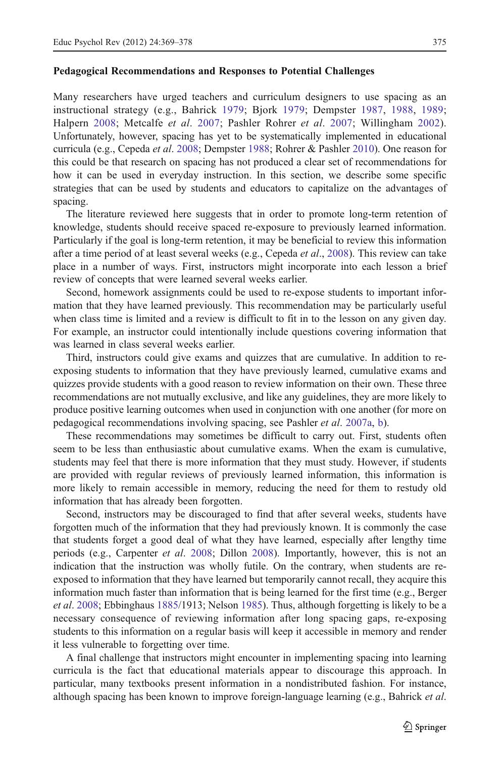## Pedagogical Recommendations and Responses to Potential Challenges

Many researchers have urged teachers and curriculum designers to use spacing as an instructional strategy (e.g., Bahrick [1979;](#page-7-0) Bjork [1979](#page-7-0); Dempster [1987,](#page-8-0) [1988](#page-8-0), [1989](#page-8-0); Halpern [2008;](#page-8-0) Metcalfe et al. [2007](#page-8-0); Pashler Rohrer et al. [2007;](#page-8-0) Willingham [2002\)](#page-9-0). Unfortunately, however, spacing has yet to be systematically implemented in educational curricula (e.g., Cepeda et al. [2008](#page-7-0); Dempster [1988](#page-8-0); Rohrer & Pashler [2010\)](#page-9-0). One reason for this could be that research on spacing has not produced a clear set of recommendations for how it can be used in everyday instruction. In this section, we describe some specific strategies that can be used by students and educators to capitalize on the advantages of spacing.

The literature reviewed here suggests that in order to promote long-term retention of knowledge, students should receive spaced re-exposure to previously learned information. Particularly if the goal is long-term retention, it may be beneficial to review this information after a time period of at least several weeks (e.g., Cepeda *et al.*, [2008\)](#page-7-0). This review can take place in a number of ways. First, instructors might incorporate into each lesson a brief review of concepts that were learned several weeks earlier.

Second, homework assignments could be used to re-expose students to important information that they have learned previously. This recommendation may be particularly useful when class time is limited and a review is difficult to fit in to the lesson on any given day. For example, an instructor could intentionally include questions covering information that was learned in class several weeks earlier.

Third, instructors could give exams and quizzes that are cumulative. In addition to reexposing students to information that they have previously learned, cumulative exams and quizzes provide students with a good reason to review information on their own. These three recommendations are not mutually exclusive, and like any guidelines, they are more likely to produce positive learning outcomes when used in conjunction with one another (for more on pedagogical recommendations involving spacing, see Pashler et al. [2007a](#page-8-0), [b\)](#page-8-0).

These recommendations may sometimes be difficult to carry out. First, students often seem to be less than enthusiastic about cumulative exams. When the exam is cumulative, students may feel that there is more information that they must study. However, if students are provided with regular reviews of previously learned information, this information is more likely to remain accessible in memory, reducing the need for them to restudy old information that has already been forgotten.

Second, instructors may be discouraged to find that after several weeks, students have forgotten much of the information that they had previously known. It is commonly the case that students forget a good deal of what they have learned, especially after lengthy time periods (e.g., Carpenter *et al.* [2008;](#page-7-0) Dillon [2008\)](#page-8-0). Importantly, however, this is not an indication that the instruction was wholly futile. On the contrary, when students are reexposed to information that they have learned but temporarily cannot recall, they acquire this information much faster than information that is being learned for the first time (e.g., Berger et al. [2008](#page-7-0); Ebbinghaus [1885/](#page-8-0)1913; Nelson [1985\)](#page-8-0). Thus, although forgetting is likely to be a necessary consequence of reviewing information after long spacing gaps, re-exposing students to this information on a regular basis will keep it accessible in memory and render it less vulnerable to forgetting over time.

A final challenge that instructors might encounter in implementing spacing into learning curricula is the fact that educational materials appear to discourage this approach. In particular, many textbooks present information in a nondistributed fashion. For instance, although spacing has been known to improve foreign-language learning (e.g., Bahrick *et al.*)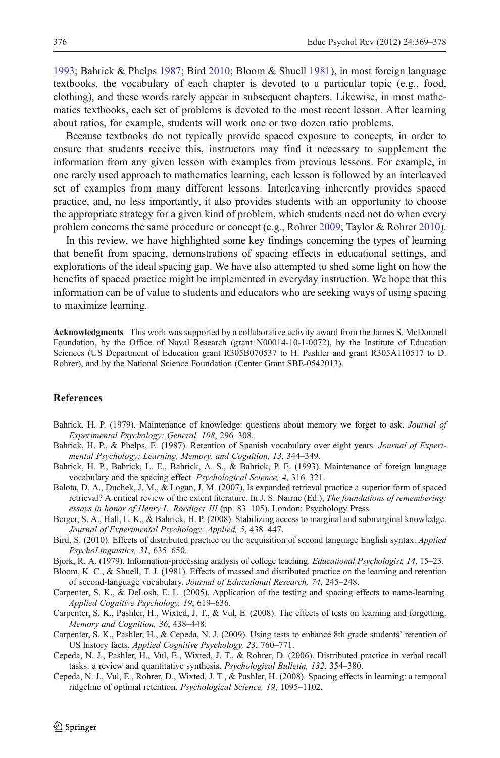<span id="page-7-0"></span>1993; Bahrick & Phelps 1987; Bird 2010; Bloom & Shuell 1981), in most foreign language textbooks, the vocabulary of each chapter is devoted to a particular topic (e.g., food, clothing), and these words rarely appear in subsequent chapters. Likewise, in most mathematics textbooks, each set of problems is devoted to the most recent lesson. After learning about ratios, for example, students will work one or two dozen ratio problems.

Because textbooks do not typically provide spaced exposure to concepts, in order to ensure that students receive this, instructors may find it necessary to supplement the information from any given lesson with examples from previous lessons. For example, in one rarely used approach to mathematics learning, each lesson is followed by an interleaved set of examples from many different lessons. Interleaving inherently provides spaced practice, and, no less importantly, it also provides students with an opportunity to choose the appropriate strategy for a given kind of problem, which students need not do when every problem concerns the same procedure or concept (e.g., Rohrer [2009;](#page-9-0) Taylor & Rohrer [2010](#page-9-0)).

In this review, we have highlighted some key findings concerning the types of learning that benefit from spacing, demonstrations of spacing effects in educational settings, and explorations of the ideal spacing gap. We have also attempted to shed some light on how the benefits of spaced practice might be implemented in everyday instruction. We hope that this information can be of value to students and educators who are seeking ways of using spacing to maximize learning.

Acknowledgments This work was supported by a collaborative activity award from the James S. McDonnell Foundation, by the Office of Naval Research (grant N00014-10-1-0072), by the Institute of Education Sciences (US Department of Education grant R305B070537 to H. Pashler and grant R305A110517 to D. Rohrer), and by the National Science Foundation (Center Grant SBE-0542013).

#### References

- Bahrick, H. P. (1979). Maintenance of knowledge: questions about memory we forget to ask. Journal of Experimental Psychology: General, 108, 296–308.
- Bahrick, H. P., & Phelps, E. (1987). Retention of Spanish vocabulary over eight years. Journal of Experimental Psychology: Learning, Memory, and Cognition, 13, 344–349.
- Bahrick, H. P., Bahrick, L. E., Bahrick, A. S., & Bahrick, P. E. (1993). Maintenance of foreign language vocabulary and the spacing effect. Psychological Science, 4, 316–321.
- Balota, D. A., Duchek, J. M., & Logan, J. M. (2007). Is expanded retrieval practice a superior form of spaced retrieval? A critical review of the extent literature. In J. S. Nairne (Ed.), The foundations of remembering: essays in honor of Henry L. Roediger III (pp. 83–105). London: Psychology Press.
- Berger, S. A., Hall, L. K., & Bahrick, H. P. (2008). Stabilizing access to marginal and submarginal knowledge. Journal of Experimental Psychology: Applied, 5, 438–447.
- Bird, S. (2010). Effects of distributed practice on the acquisition of second language English syntax. Applied PsychoLinguistics, 31, 635–650.
- Bjork, R. A. (1979). Information-processing analysis of college teaching. Educational Psychologist, 14, 15–23.
- Bloom, K. C., & Shuell, T. J. (1981). Effects of massed and distributed practice on the learning and retention of second-language vocabulary. Journal of Educational Research, 74, 245–248.
- Carpenter, S. K., & DeLosh, E. L. (2005). Application of the testing and spacing effects to name-learning. Applied Cognitive Psychology, 19, 619–636.
- Carpenter, S. K., Pashler, H., Wixted, J. T., & Vul, E. (2008). The effects of tests on learning and forgetting. Memory and Cognition, 36, 438–448.
- Carpenter, S. K., Pashler, H., & Cepeda, N. J. (2009). Using tests to enhance 8th grade students' retention of US history facts. Applied Cognitive Psychology, 23, 760–771.
- Cepeda, N. J., Pashler, H., Vul, E., Wixted, J. T., & Rohrer, D. (2006). Distributed practice in verbal recall tasks: a review and quantitative synthesis. Psychological Bulletin, 132, 354–380.
- Cepeda, N. J., Vul, E., Rohrer, D., Wixted, J. T., & Pashler, H. (2008). Spacing effects in learning: a temporal ridgeline of optimal retention. Psychological Science, 19, 1095–1102.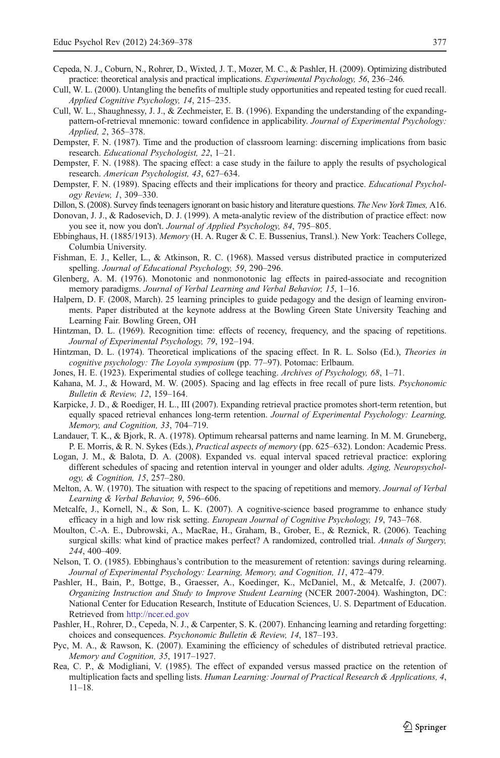- <span id="page-8-0"></span>Cepeda, N. J., Coburn, N., Rohrer, D., Wixted, J. T., Mozer, M. C., & Pashler, H. (2009). Optimizing distributed practice: theoretical analysis and practical implications. Experimental Psychology, 56, 236–246.
- Cull, W. L. (2000). Untangling the benefits of multiple study opportunities and repeated testing for cued recall. Applied Cognitive Psychology, 14, 215–235.
- Cull, W. L., Shaughnessy, J. J., & Zechmeister, E. B. (1996). Expanding the understanding of the expandingpattern-of-retrieval mnemonic: toward confidence in applicability. Journal of Experimental Psychology: Applied, 2, 365–378.
- Dempster, F. N. (1987). Time and the production of classroom learning: discerning implications from basic research. Educational Psychologist, 22, 1–21.
- Dempster, F. N. (1988). The spacing effect: a case study in the failure to apply the results of psychological research. American Psychologist, 43, 627–634.
- Dempster, F. N. (1989). Spacing effects and their implications for theory and practice. *Educational Psychol*ogy Review, 1, 309–330.
- Dillon, S. (2008). Survey finds teenagers ignorant on basic history and literature questions. The New York Times, A16.
- Donovan, J. J., & Radosevich, D. J. (1999). A meta-analytic review of the distribution of practice effect: now you see it, now you don't. Journal of Applied Psychology, 84, 795–805.
- Ebbinghaus, H. (1885/1913). Memory (H. A. Ruger & C. E. Bussenius, Transl.). New York: Teachers College, Columbia University.
- Fishman, E. J., Keller, L., & Atkinson, R. C. (1968). Massed versus distributed practice in computerized spelling. Journal of Educational Psychology, 59, 290–296.
- Glenberg, A. M. (1976). Monotonic and nonmonotonic lag effects in paired-associate and recognition memory paradigms. Journal of Verbal Learning and Verbal Behavior, 15, 1–16.
- Halpern, D. F. (2008, March). 25 learning principles to guide pedagogy and the design of learning environments. Paper distributed at the keynote address at the Bowling Green State University Teaching and Learning Fair. Bowling Green, OH
- Hintzman, D. L. (1969). Recognition time: effects of recency, frequency, and the spacing of repetitions. Journal of Experimental Psychology, 79, 192–194.
- Hintzman, D. L. (1974). Theoretical implications of the spacing effect. In R. L. Solso (Ed.), Theories in cognitive psychology: The Loyola symposium (pp. 77–97). Potomac: Erlbaum.
- Jones, H. E. (1923). Experimental studies of college teaching. Archives of Psychology, 68, 1–71.
- Kahana, M. J., & Howard, M. W. (2005). Spacing and lag effects in free recall of pure lists. *Psychonomic* Bulletin & Review, 12, 159–164.
- Karpicke, J. D., & Roediger, H. L., III (2007). Expanding retrieval practice promotes short-term retention, but equally spaced retrieval enhances long-term retention. Journal of Experimental Psychology: Learning, Memory, and Cognition, 33, 704–719.
- Landauer, T. K., & Bjork, R. A. (1978). Optimum rehearsal patterns and name learning. In M. M. Gruneberg, P. E. Morris, & R. N. Sykes (Eds.), Practical aspects of memory (pp. 625–632). London: Academic Press.
- Logan, J. M., & Balota, D. A. (2008). Expanded vs. equal interval spaced retrieval practice: exploring different schedules of spacing and retention interval in younger and older adults. Aging, Neuropsychology, & Cognition, 15, 257–280.
- Melton, A. W. (1970). The situation with respect to the spacing of repetitions and memory. Journal of Verbal Learning & Verbal Behavior, 9, 596–606.
- Metcalfe, J., Kornell, N., & Son, L. K. (2007). A cognitive-science based programme to enhance study efficacy in a high and low risk setting. European Journal of Cognitive Psychology, 19, 743–768.
- Moulton, C.-A. E., Dubrowski, A., MacRae, H., Graham, B., Grober, E., & Reznick, R. (2006). Teaching surgical skills: what kind of practice makes perfect? A randomized, controlled trial. Annals of Surgery, 244, 400–409.
- Nelson, T. O. (1985). Ebbinghaus's contribution to the measurement of retention: savings during relearning. Journal of Experimental Psychology: Learning, Memory, and Cognition, 11, 472–479.
- Pashler, H., Bain, P., Bottge, B., Graesser, A., Koedinger, K., McDaniel, M., & Metcalfe, J. (2007). Organizing Instruction and Study to Improve Student Learning (NCER 2007-2004). Washington, DC: National Center for Education Research, Institute of Education Sciences, U. S. Department of Education. Retrieved from <http://ncer.ed.gov>
- Pashler, H., Rohrer, D., Cepeda, N. J., & Carpenter, S. K. (2007). Enhancing learning and retarding forgetting: choices and consequences. Psychonomic Bulletin & Review, 14, 187–193.
- Pyc, M. A., & Rawson, K. (2007). Examining the efficiency of schedules of distributed retrieval practice. Memory and Cognition, 35, 1917–1927.
- Rea, C. P., & Modigliani, V. (1985). The effect of expanded versus massed practice on the retention of multiplication facts and spelling lists. Human Learning: Journal of Practical Research & Applications, 4, 11–18.